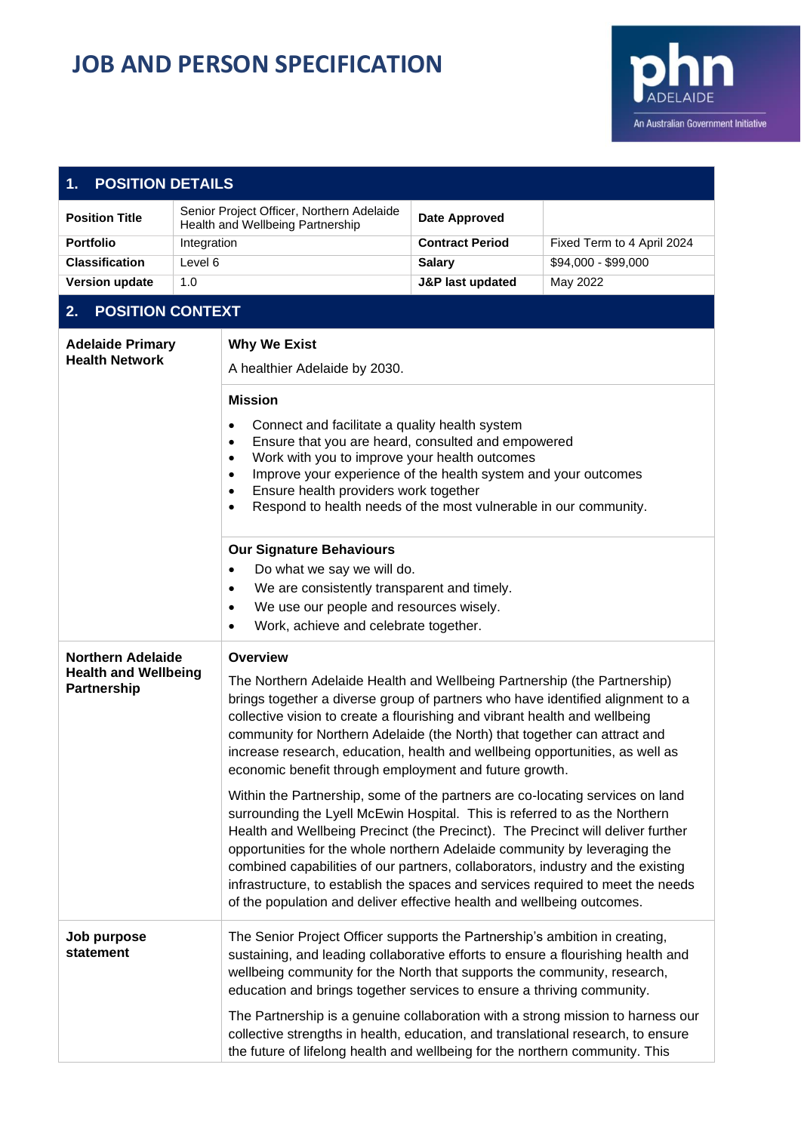## **JOB AND PERSON SPECIFICATION**



| <b>POSITION DETAILS</b><br>1.                                                                                                                                                                                                                                                                                                                                                                                                                                                                                                                                                                            |             |                                                                                                                                                                                                                                                                                                                                                                                                                                                                                                                                                                             |                             |                            |
|----------------------------------------------------------------------------------------------------------------------------------------------------------------------------------------------------------------------------------------------------------------------------------------------------------------------------------------------------------------------------------------------------------------------------------------------------------------------------------------------------------------------------------------------------------------------------------------------------------|-------------|-----------------------------------------------------------------------------------------------------------------------------------------------------------------------------------------------------------------------------------------------------------------------------------------------------------------------------------------------------------------------------------------------------------------------------------------------------------------------------------------------------------------------------------------------------------------------------|-----------------------------|----------------------------|
| <b>Position Title</b>                                                                                                                                                                                                                                                                                                                                                                                                                                                                                                                                                                                    |             | Senior Project Officer, Northern Adelaide<br>Health and Wellbeing Partnership                                                                                                                                                                                                                                                                                                                                                                                                                                                                                               | <b>Date Approved</b>        |                            |
| <b>Portfolio</b>                                                                                                                                                                                                                                                                                                                                                                                                                                                                                                                                                                                         | Integration |                                                                                                                                                                                                                                                                                                                                                                                                                                                                                                                                                                             | <b>Contract Period</b>      | Fixed Term to 4 April 2024 |
| <b>Classification</b>                                                                                                                                                                                                                                                                                                                                                                                                                                                                                                                                                                                    | Level 6     |                                                                                                                                                                                                                                                                                                                                                                                                                                                                                                                                                                             | <b>Salary</b>               | \$94,000 - \$99,000        |
| <b>Version update</b>                                                                                                                                                                                                                                                                                                                                                                                                                                                                                                                                                                                    | 1.0         |                                                                                                                                                                                                                                                                                                                                                                                                                                                                                                                                                                             | <b>J&amp;P last updated</b> | May 2022                   |
| <b>POSITION CONTEXT</b><br>2.                                                                                                                                                                                                                                                                                                                                                                                                                                                                                                                                                                            |             |                                                                                                                                                                                                                                                                                                                                                                                                                                                                                                                                                                             |                             |                            |
| <b>Adelaide Primary</b><br><b>Health Network</b>                                                                                                                                                                                                                                                                                                                                                                                                                                                                                                                                                         |             | <b>Why We Exist</b><br>A healthier Adelaide by 2030.                                                                                                                                                                                                                                                                                                                                                                                                                                                                                                                        |                             |                            |
|                                                                                                                                                                                                                                                                                                                                                                                                                                                                                                                                                                                                          |             | <b>Mission</b><br>Connect and facilitate a quality health system<br>$\bullet$<br>Ensure that you are heard, consulted and empowered<br>٠<br>Work with you to improve your health outcomes<br>٠<br>Improve your experience of the health system and your outcomes<br>٠<br>Ensure health providers work together<br>٠<br>Respond to health needs of the most vulnerable in our community.<br>$\bullet$                                                                                                                                                                        |                             |                            |
|                                                                                                                                                                                                                                                                                                                                                                                                                                                                                                                                                                                                          |             | <b>Our Signature Behaviours</b><br>Do what we say we will do.<br>٠<br>We are consistently transparent and timely.<br>$\bullet$<br>We use our people and resources wisely.<br>$\bullet$<br>Work, achieve and celebrate together.<br>$\bullet$                                                                                                                                                                                                                                                                                                                                |                             |                            |
| <b>Northern Adelaide</b><br><b>Health and Wellbeing</b><br>Partnership                                                                                                                                                                                                                                                                                                                                                                                                                                                                                                                                   |             | <b>Overview</b><br>The Northern Adelaide Health and Wellbeing Partnership (the Partnership)<br>brings together a diverse group of partners who have identified alignment to a<br>collective vision to create a flourishing and vibrant health and wellbeing<br>community for Northern Adelaide (the North) that together can attract and<br>increase research, education, health and wellbeing opportunities, as well as<br>economic benefit through employment and future growth.                                                                                          |                             |                            |
|                                                                                                                                                                                                                                                                                                                                                                                                                                                                                                                                                                                                          |             | Within the Partnership, some of the partners are co-locating services on land<br>surrounding the Lyell McEwin Hospital. This is referred to as the Northern<br>Health and Wellbeing Precinct (the Precinct). The Precinct will deliver further<br>opportunities for the whole northern Adelaide community by leveraging the<br>combined capabilities of our partners, collaborators, industry and the existing<br>infrastructure, to establish the spaces and services required to meet the needs<br>of the population and deliver effective health and wellbeing outcomes. |                             |                            |
| The Senior Project Officer supports the Partnership's ambition in creating,<br>Job purpose<br>statement<br>sustaining, and leading collaborative efforts to ensure a flourishing health and<br>wellbeing community for the North that supports the community, research,<br>education and brings together services to ensure a thriving community.<br>The Partnership is a genuine collaboration with a strong mission to harness our<br>collective strengths in health, education, and translational research, to ensure<br>the future of lifelong health and wellbeing for the northern community. This |             |                                                                                                                                                                                                                                                                                                                                                                                                                                                                                                                                                                             |                             |                            |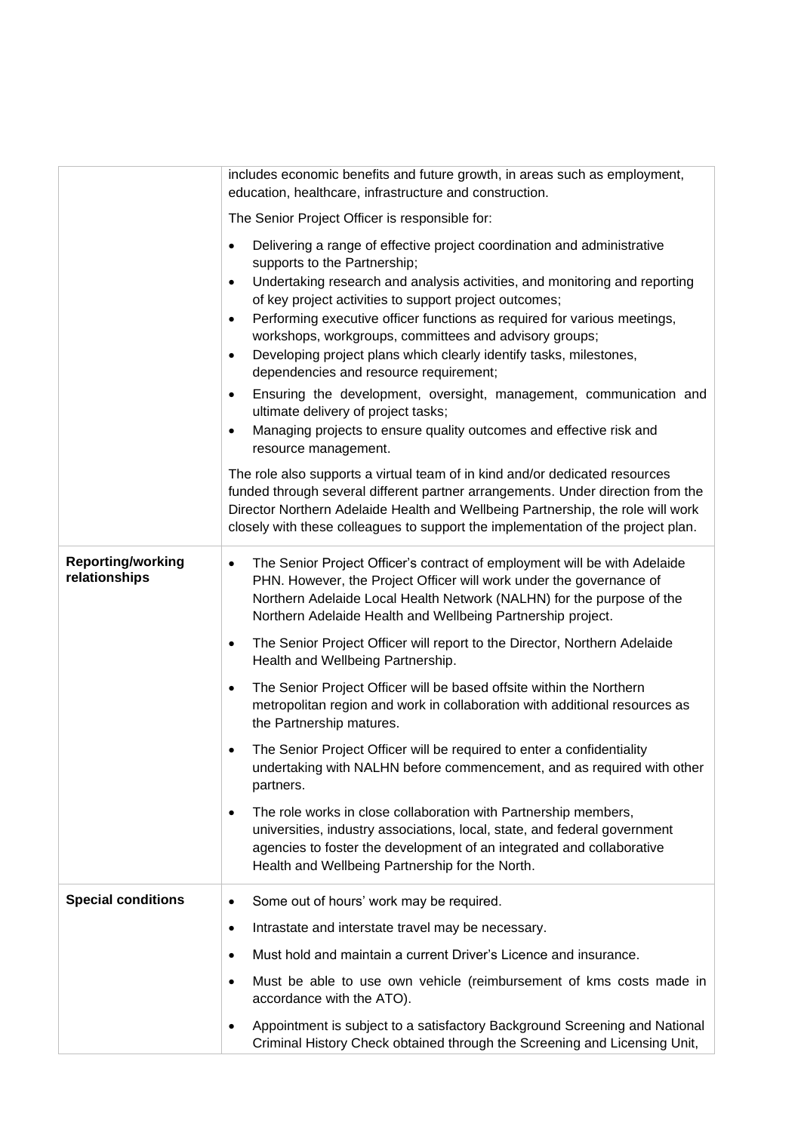|                                           | includes economic benefits and future growth, in areas such as employment,<br>education, healthcare, infrastructure and construction.                                                                                                                                                                                                 |  |
|-------------------------------------------|---------------------------------------------------------------------------------------------------------------------------------------------------------------------------------------------------------------------------------------------------------------------------------------------------------------------------------------|--|
|                                           | The Senior Project Officer is responsible for:                                                                                                                                                                                                                                                                                        |  |
|                                           | Delivering a range of effective project coordination and administrative<br>$\bullet$<br>supports to the Partnership;                                                                                                                                                                                                                  |  |
|                                           | Undertaking research and analysis activities, and monitoring and reporting<br>$\bullet$<br>of key project activities to support project outcomes;                                                                                                                                                                                     |  |
|                                           | Performing executive officer functions as required for various meetings,<br>$\bullet$<br>workshops, workgroups, committees and advisory groups;                                                                                                                                                                                       |  |
|                                           | Developing project plans which clearly identify tasks, milestones,<br>$\bullet$<br>dependencies and resource requirement;                                                                                                                                                                                                             |  |
|                                           | Ensuring the development, oversight, management, communication and<br>$\bullet$<br>ultimate delivery of project tasks;                                                                                                                                                                                                                |  |
|                                           | Managing projects to ensure quality outcomes and effective risk and<br>٠<br>resource management.                                                                                                                                                                                                                                      |  |
|                                           | The role also supports a virtual team of in kind and/or dedicated resources<br>funded through several different partner arrangements. Under direction from the<br>Director Northern Adelaide Health and Wellbeing Partnership, the role will work<br>closely with these colleagues to support the implementation of the project plan. |  |
| <b>Reporting/working</b><br>relationships | The Senior Project Officer's contract of employment will be with Adelaide<br>$\bullet$<br>PHN. However, the Project Officer will work under the governance of<br>Northern Adelaide Local Health Network (NALHN) for the purpose of the<br>Northern Adelaide Health and Wellbeing Partnership project.                                 |  |
|                                           | The Senior Project Officer will report to the Director, Northern Adelaide<br>$\bullet$<br>Health and Wellbeing Partnership.                                                                                                                                                                                                           |  |
|                                           | The Senior Project Officer will be based offsite within the Northern<br>$\bullet$<br>metropolitan region and work in collaboration with additional resources as<br>the Partnership matures.                                                                                                                                           |  |
|                                           | The Senior Project Officer will be required to enter a confidentiality<br>$\bullet$<br>undertaking with NALHN before commencement, and as required with other<br>partners.                                                                                                                                                            |  |
|                                           | The role works in close collaboration with Partnership members,<br>$\bullet$<br>universities, industry associations, local, state, and federal government<br>agencies to foster the development of an integrated and collaborative<br>Health and Wellbeing Partnership for the North.                                                 |  |
| <b>Special conditions</b>                 | Some out of hours' work may be required.<br>$\bullet$                                                                                                                                                                                                                                                                                 |  |
|                                           | Intrastate and interstate travel may be necessary.<br>$\bullet$                                                                                                                                                                                                                                                                       |  |
|                                           | Must hold and maintain a current Driver's Licence and insurance.<br>$\bullet$                                                                                                                                                                                                                                                         |  |
|                                           | Must be able to use own vehicle (reimbursement of kms costs made in<br>$\bullet$<br>accordance with the ATO).                                                                                                                                                                                                                         |  |
|                                           | Appointment is subject to a satisfactory Background Screening and National<br>٠<br>Criminal History Check obtained through the Screening and Licensing Unit,                                                                                                                                                                          |  |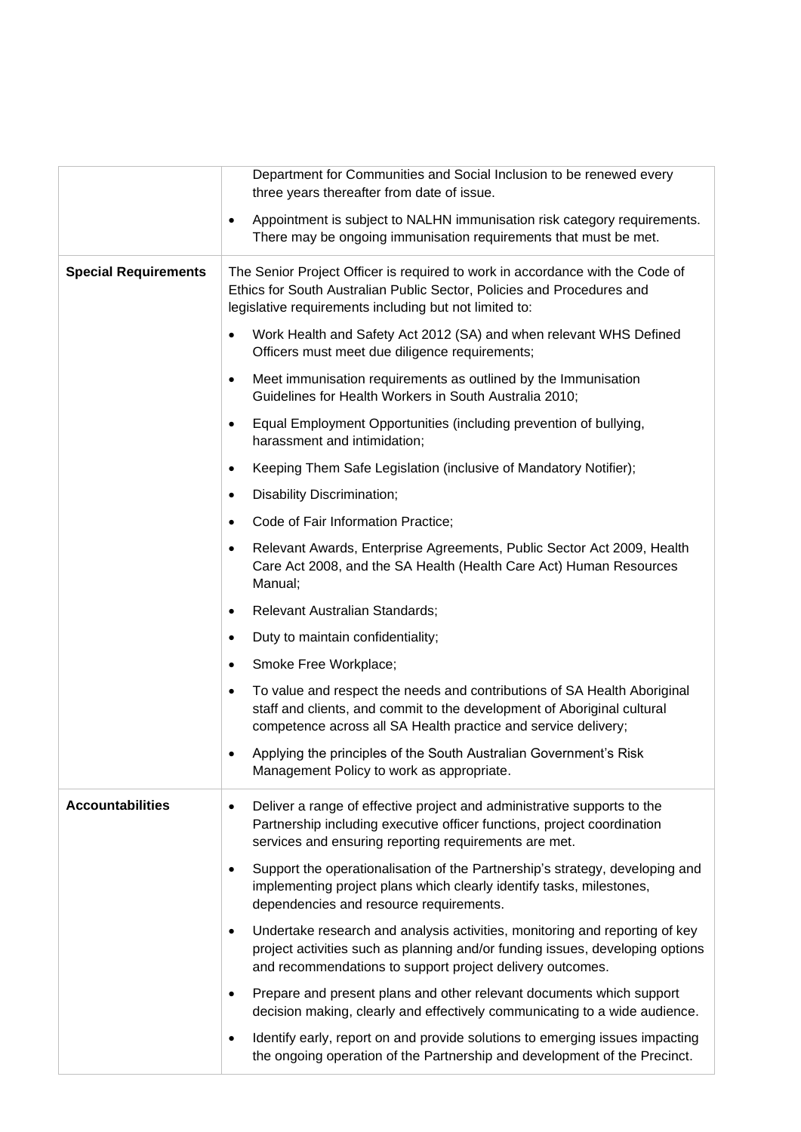|                             | Department for Communities and Social Inclusion to be renewed every<br>three years thereafter from date of issue.                                                                                                                      |  |
|-----------------------------|----------------------------------------------------------------------------------------------------------------------------------------------------------------------------------------------------------------------------------------|--|
|                             | Appointment is subject to NALHN immunisation risk category requirements.<br>$\bullet$<br>There may be ongoing immunisation requirements that must be met.                                                                              |  |
| <b>Special Requirements</b> | The Senior Project Officer is required to work in accordance with the Code of<br>Ethics for South Australian Public Sector, Policies and Procedures and<br>legislative requirements including but not limited to:                      |  |
|                             | Work Health and Safety Act 2012 (SA) and when relevant WHS Defined<br>$\bullet$<br>Officers must meet due diligence requirements;                                                                                                      |  |
|                             | Meet immunisation requirements as outlined by the Immunisation<br>$\bullet$<br>Guidelines for Health Workers in South Australia 2010;                                                                                                  |  |
|                             | Equal Employment Opportunities (including prevention of bullying,<br>$\bullet$<br>harassment and intimidation;                                                                                                                         |  |
|                             | Keeping Them Safe Legislation (inclusive of Mandatory Notifier);<br>$\bullet$                                                                                                                                                          |  |
|                             | Disability Discrimination;<br>٠                                                                                                                                                                                                        |  |
|                             | Code of Fair Information Practice;<br>$\bullet$                                                                                                                                                                                        |  |
|                             | Relevant Awards, Enterprise Agreements, Public Sector Act 2009, Health<br>٠<br>Care Act 2008, and the SA Health (Health Care Act) Human Resources<br>Manual;                                                                           |  |
|                             | Relevant Australian Standards;<br>$\bullet$                                                                                                                                                                                            |  |
|                             | Duty to maintain confidentiality;<br>$\bullet$                                                                                                                                                                                         |  |
|                             | Smoke Free Workplace;<br>٠                                                                                                                                                                                                             |  |
|                             | To value and respect the needs and contributions of SA Health Aboriginal<br>$\bullet$<br>staff and clients, and commit to the development of Aboriginal cultural<br>competence across all SA Health practice and service delivery;     |  |
|                             | Applying the principles of the South Australian Government's Risk<br>٠<br>Management Policy to work as appropriate.                                                                                                                    |  |
| <b>Accountabilities</b>     | Deliver a range of effective project and administrative supports to the<br>$\bullet$<br>Partnership including executive officer functions, project coordination<br>services and ensuring reporting requirements are met.               |  |
|                             | Support the operationalisation of the Partnership's strategy, developing and<br>$\bullet$<br>implementing project plans which clearly identify tasks, milestones,<br>dependencies and resource requirements.                           |  |
|                             | Undertake research and analysis activities, monitoring and reporting of key<br>$\bullet$<br>project activities such as planning and/or funding issues, developing options<br>and recommendations to support project delivery outcomes. |  |
|                             | Prepare and present plans and other relevant documents which support<br>$\bullet$<br>decision making, clearly and effectively communicating to a wide audience.                                                                        |  |
|                             | Identify early, report on and provide solutions to emerging issues impacting<br>$\bullet$<br>the ongoing operation of the Partnership and development of the Precinct.                                                                 |  |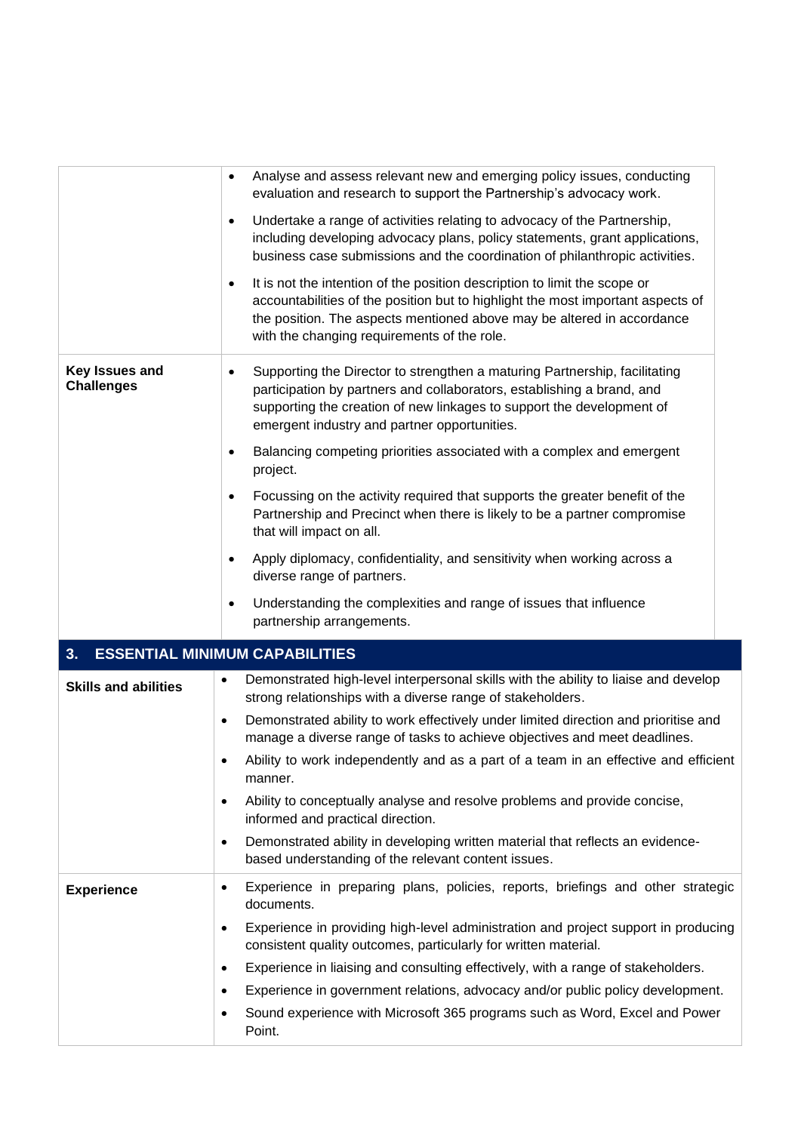|                                     | Analyse and assess relevant new and emerging policy issues, conducting<br>$\bullet$<br>evaluation and research to support the Partnership's advocacy work.<br>Undertake a range of activities relating to advocacy of the Partnership,<br>$\bullet$<br>including developing advocacy plans, policy statements, grant applications,<br>business case submissions and the coordination of philanthropic activities.<br>It is not the intention of the position description to limit the scope or<br>$\bullet$<br>accountabilities of the position but to highlight the most important aspects of<br>the position. The aspects mentioned above may be altered in accordance |  |
|-------------------------------------|--------------------------------------------------------------------------------------------------------------------------------------------------------------------------------------------------------------------------------------------------------------------------------------------------------------------------------------------------------------------------------------------------------------------------------------------------------------------------------------------------------------------------------------------------------------------------------------------------------------------------------------------------------------------------|--|
|                                     | with the changing requirements of the role.                                                                                                                                                                                                                                                                                                                                                                                                                                                                                                                                                                                                                              |  |
| Key Issues and<br><b>Challenges</b> | Supporting the Director to strengthen a maturing Partnership, facilitating<br>$\bullet$<br>participation by partners and collaborators, establishing a brand, and<br>supporting the creation of new linkages to support the development of<br>emergent industry and partner opportunities.<br>Balancing competing priorities associated with a complex and emergent<br>$\bullet$<br>project.                                                                                                                                                                                                                                                                             |  |
|                                     | Focussing on the activity required that supports the greater benefit of the<br>$\bullet$<br>Partnership and Precinct when there is likely to be a partner compromise<br>that will impact on all.                                                                                                                                                                                                                                                                                                                                                                                                                                                                         |  |
|                                     | Apply diplomacy, confidentiality, and sensitivity when working across a<br>$\bullet$<br>diverse range of partners.                                                                                                                                                                                                                                                                                                                                                                                                                                                                                                                                                       |  |
|                                     | Understanding the complexities and range of issues that influence<br>٠<br>partnership arrangements.                                                                                                                                                                                                                                                                                                                                                                                                                                                                                                                                                                      |  |
| 3.                                  | <b>ESSENTIAL MINIMUM CAPABILITIES</b>                                                                                                                                                                                                                                                                                                                                                                                                                                                                                                                                                                                                                                    |  |
| <b>Skills and abilities</b>         | Demonstrated high-level interpersonal skills with the ability to liaise and develop<br>٠<br>strong relationships with a diverse range of stakeholders.                                                                                                                                                                                                                                                                                                                                                                                                                                                                                                                   |  |
|                                     | Demonstrated ability to work effectively under limited direction and prioritise and<br>$\bullet$<br>manage a diverse range of tasks to achieve objectives and meet deadlines.                                                                                                                                                                                                                                                                                                                                                                                                                                                                                            |  |
|                                     | Ability to work independently and as a part of a team in an effective and efficient<br>٠<br>manner.                                                                                                                                                                                                                                                                                                                                                                                                                                                                                                                                                                      |  |
|                                     | Ability to conceptually analyse and resolve problems and provide concise,<br>$\bullet$<br>informed and practical direction.                                                                                                                                                                                                                                                                                                                                                                                                                                                                                                                                              |  |
|                                     | Demonstrated ability in developing written material that reflects an evidence-<br>$\bullet$<br>based understanding of the relevant content issues.                                                                                                                                                                                                                                                                                                                                                                                                                                                                                                                       |  |
| <b>Experience</b>                   | Experience in preparing plans, policies, reports, briefings and other strategic<br>$\bullet$<br>documents.                                                                                                                                                                                                                                                                                                                                                                                                                                                                                                                                                               |  |
|                                     | Experience in providing high-level administration and project support in producing<br>$\bullet$<br>consistent quality outcomes, particularly for written material.                                                                                                                                                                                                                                                                                                                                                                                                                                                                                                       |  |
|                                     | Experience in liaising and consulting effectively, with a range of stakeholders.<br>$\bullet$                                                                                                                                                                                                                                                                                                                                                                                                                                                                                                                                                                            |  |
|                                     | Experience in government relations, advocacy and/or public policy development.<br>٠                                                                                                                                                                                                                                                                                                                                                                                                                                                                                                                                                                                      |  |
|                                     | Sound experience with Microsoft 365 programs such as Word, Excel and Power<br>٠<br>Point.                                                                                                                                                                                                                                                                                                                                                                                                                                                                                                                                                                                |  |